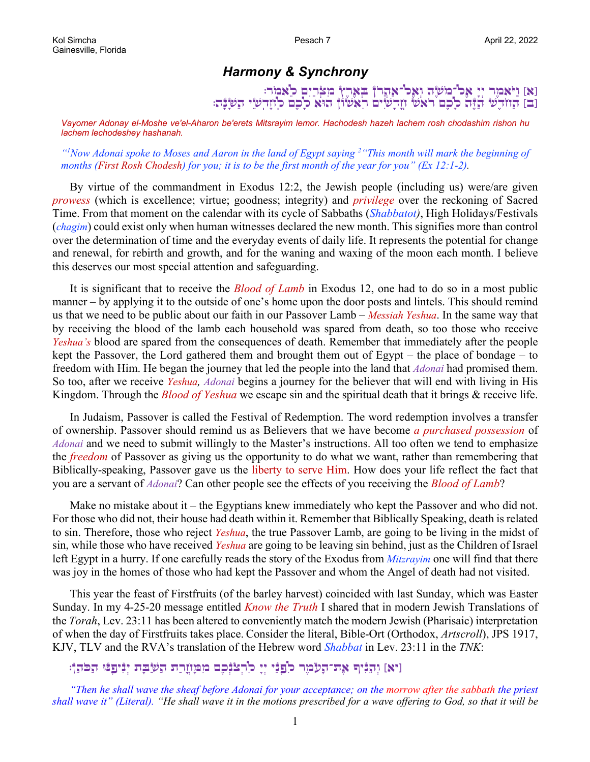## *Harmony & Synchrony*

[א] וַיֹּאמֶר יְיָ אֶכ<sup>ו-</sup>רֲמֹשֶׂה וְאֶכ<sup>ו-</sup>אַהֲרֹן בְּאֶרֶץ מִצְרָיִם כ<sup>ָ</sup>אמַר: [ב] הַזוֹדְשׁ הַיָּה כִלְכָם רֹאשׁ וְזָדְשִׂים רִאשׁוֹן הוּא כֹלְכָם כְוֹזָדְשִׂי הַשְׁבָּה

*Vayomer Adonay el-Moshe ve'el-Aharon be'erets Mitsrayim lemor. Hachodesh hazeh lachem rosh chodashim rishon hu lachem lechodeshey hashanah.*

*"1 Now Adonai spoke to Moses and Aaron in the land of Egypt saying <sup>2</sup> "This month will mark the beginning of months (First Rosh Chodesh) for you; it is to be the first month of the year for you" (Ex 12:1-2).*

By virtue of the commandment in Exodus 12:2, the Jewish people (including us) were/are given *prowess* (which is excellence; virtue; goodness; integrity) and *privilege* over the reckoning of Sacred Time. From that moment on the calendar with its cycle of Sabbaths (*Shabbatot)*, High Holidays/Festivals (*chagim*) could exist only when human witnesses declared the new month. This signifies more than control over the determination of time and the everyday events of daily life. It represents the potential for change and renewal, for rebirth and growth, and for the waning and waxing of the moon each month. I believe this deserves our most special attention and safeguarding.

It is significant that to receive the *Blood of Lamb* in Exodus 12, one had to do so in a most public manner – by applying it to the outside of one's home upon the door posts and lintels. This should remind us that we need to be public about our faith in our Passover Lamb – *Messiah Yeshua*. In the same way that by receiving the blood of the lamb each household was spared from death, so too those who receive *Yeshua's* blood are spared from the consequences of death. Remember that immediately after the people kept the Passover, the Lord gathered them and brought them out of Egypt – the place of bondage – to freedom with Him. He began the journey that led the people into the land that *Adonai* had promised them. So too, after we receive *Yeshua, Adonai* begins a journey for the believer that will end with living in His Kingdom. Through the *Blood of Yeshua* we escape sin and the spiritual death that it brings & receive life.

In Judaism, Passover is called the Festival of Redemption. The word redemption involves a transfer of ownership. Passover should remind us as Believers that we have become *a purchased possession* of *Adonai* and we need to submit willingly to the Master's instructions. All too often we tend to emphasize the *freedom* of Passover as giving us the opportunity to do what we want, rather than remembering that Biblically-speaking, Passover gave us the liberty to serve Him. How does your life reflect the fact that you are a servant of *Adonai*? Can other people see the effects of you receiving the *Blood of Lamb*?

Make no mistake about it – the Egyptians knew immediately who kept the Passover and who did not. For those who did not, their house had death within it. Remember that Biblically Speaking, death is related to sin. Therefore, those who reject *Yeshua*, the true Passover Lamb, are going to be living in the midst of sin, while those who have received *Yeshua* are going to be leaving sin behind, just as the Children of Israel left Egypt in a hurry. If one carefully reads the story of the Exodus from *Mitzrayim* one will find that there was joy in the homes of those who had kept the Passover and whom the Angel of death had not visited.

This year the feast of Firstfruits (of the barley harvest) coincided with last Sunday, which was Easter Sunday. In my 4-25-20 message entitled *Know the Truth* I shared that in modern Jewish Translations of the *Torah*, Lev. 23:11 has been altered to conveniently match the modern Jewish (Pharisaic) interpretation of when the day of Firstfruits takes place. Consider the literal, Bible-Ort (Orthodox, *Artscroll*), JPS 1917, KJV, TLV and the RVA's translation of the Hebrew word *Shabbat* in Lev. 23:11 in the *TNK*:

[יא] וִהְנִיף אַת־הָעַמֵר כֹּוַפְנֵי יִיָ כֹרְצֹנִכִם מִמְוֹזֶרַת הֲשַׁבָּת יִנִּיכַבּוּ הַכֹּהָןֹ:

*"Then he shall wave the sheaf before Adonai for your acceptance; on the morrow after the sabbath the priest shall wave it" (Literal). "He shall wave it in the motions prescribed for a wave offering to God, so that it will be*